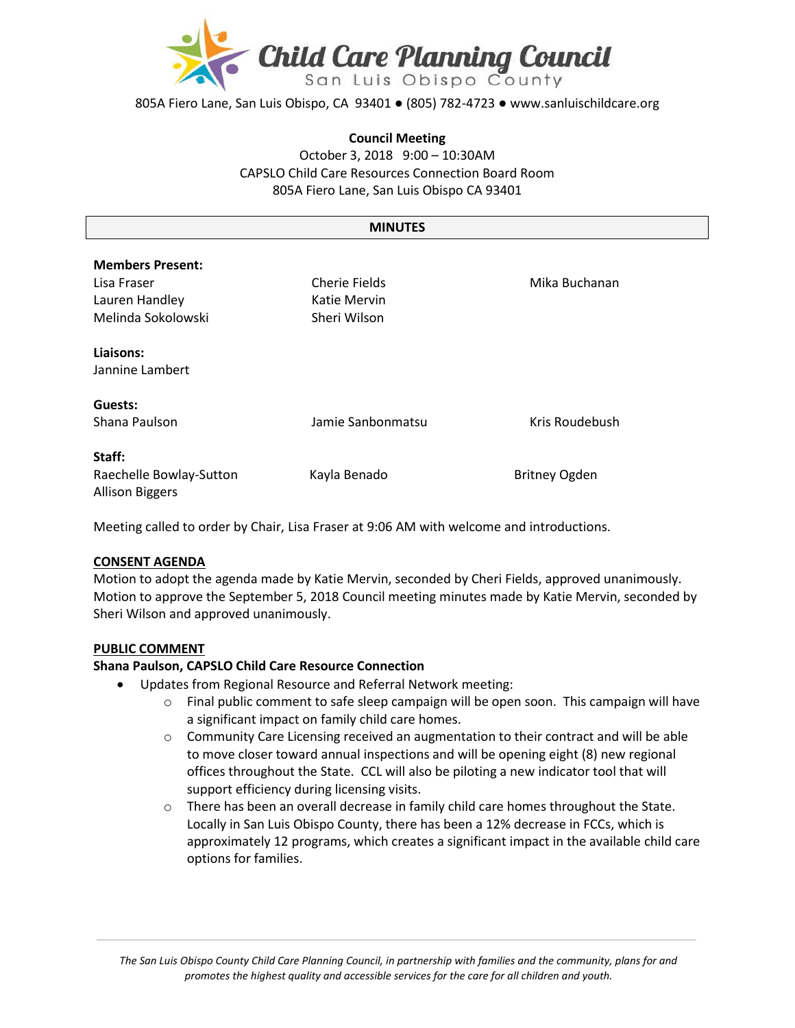

805A Fiero Lane, San Luis Obispo, CA 93401 ● (805) 782-4723 ● www.sanluischildcare.org

#### **Council Meeting**

October 3, 2018 9:00 – 10:30AM CAPSLO Child Care Resources Connection Board Room 805A Fiero Lane, San Luis Obispo CA 93401

#### **MINUTES**

| <b>Members Present:</b><br>Lisa Fraser<br>Lauren Handley<br>Melinda Sokolowski | Cherie Fields<br>Katie Mervin<br>Sheri Wilson | Mika Buchanan        |
|--------------------------------------------------------------------------------|-----------------------------------------------|----------------------|
| Liaisons:<br>Jannine Lambert                                                   |                                               |                      |
| Guests:<br>Shana Paulson                                                       | Jamie Sanbonmatsu                             | Kris Roudebush       |
| Staff:<br>Raechelle Bowlay-Sutton<br><b>Allison Biggers</b>                    | Kayla Benado                                  | <b>Britney Ogden</b> |

Meeting called to order by Chair, Lisa Fraser at 9:06 AM with welcome and introductions.

### **CONSENT AGENDA**

Motion to adopt the agenda made by Katie Mervin, seconded by Cheri Fields, approved unanimously. Motion to approve the September 5, 2018 Council meeting minutes made by Katie Mervin, seconded by Sheri Wilson and approved unanimously.

#### **PUBLIC COMMENT**

#### **Shana Paulson, CAPSLO Child Care Resource Connection**

- Updates from Regional Resource and Referral Network meeting:
	- $\circ$  Final public comment to safe sleep campaign will be open soon. This campaign will have a significant impact on family child care homes.
	- $\circ$  Community Care Licensing received an augmentation to their contract and will be able to move closer toward annual inspections and will be opening eight (8) new regional offices throughout the State. CCL will also be piloting a new indicator tool that will support efficiency during licensing visits.
	- $\circ$  There has been an overall decrease in family child care homes throughout the State. Locally in San Luis Obispo County, there has been a 12% decrease in FCCs, which is approximately 12 programs, which creates a significant impact in the available child care options for families.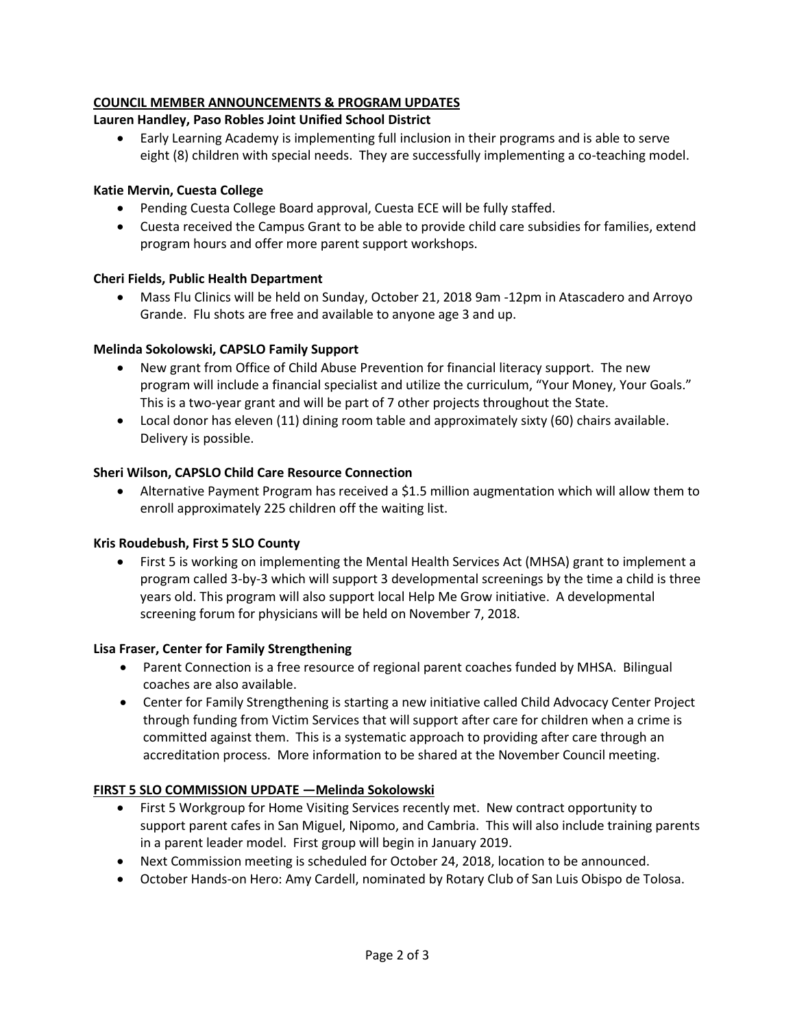# **COUNCIL MEMBER ANNOUNCEMENTS & PROGRAM UPDATES**

# **Lauren Handley, Paso Robles Joint Unified School District**

 Early Learning Academy is implementing full inclusion in their programs and is able to serve eight (8) children with special needs. They are successfully implementing a co-teaching model.

# **Katie Mervin, Cuesta College**

- Pending Cuesta College Board approval, Cuesta ECE will be fully staffed.
- Cuesta received the Campus Grant to be able to provide child care subsidies for families, extend program hours and offer more parent support workshops.

## **Cheri Fields, Public Health Department**

 Mass Flu Clinics will be held on Sunday, October 21, 2018 9am -12pm in Atascadero and Arroyo Grande. Flu shots are free and available to anyone age 3 and up.

## **Melinda Sokolowski, CAPSLO Family Support**

- New grant from Office of Child Abuse Prevention for financial literacy support. The new program will include a financial specialist and utilize the curriculum, "Your Money, Your Goals." This is a two-year grant and will be part of 7 other projects throughout the State.
- Local donor has eleven (11) dining room table and approximately sixty (60) chairs available. Delivery is possible.

## **Sheri Wilson, CAPSLO Child Care Resource Connection**

 Alternative Payment Program has received a \$1.5 million augmentation which will allow them to enroll approximately 225 children off the waiting list.

### **Kris Roudebush, First 5 SLO County**

• First 5 is working on implementing the Mental Health Services Act (MHSA) grant to implement a program called 3-by-3 which will support 3 developmental screenings by the time a child is three years old. This program will also support local Help Me Grow initiative. A developmental screening forum for physicians will be held on November 7, 2018.

### **Lisa Fraser, Center for Family Strengthening**

- Parent Connection is a free resource of regional parent coaches funded by MHSA. Bilingual coaches are also available.
- Center for Family Strengthening is starting a new initiative called Child Advocacy Center Project through funding from Victim Services that will support after care for children when a crime is committed against them. This is a systematic approach to providing after care through an accreditation process. More information to be shared at the November Council meeting.

### **FIRST 5 SLO COMMISSION UPDATE —Melinda Sokolowski**

- First 5 Workgroup for Home Visiting Services recently met. New contract opportunity to support parent cafes in San Miguel, Nipomo, and Cambria. This will also include training parents in a parent leader model. First group will begin in January 2019.
- Next Commission meeting is scheduled for October 24, 2018, location to be announced.
- October Hands-on Hero: Amy Cardell, nominated by Rotary Club of San Luis Obispo de Tolosa.